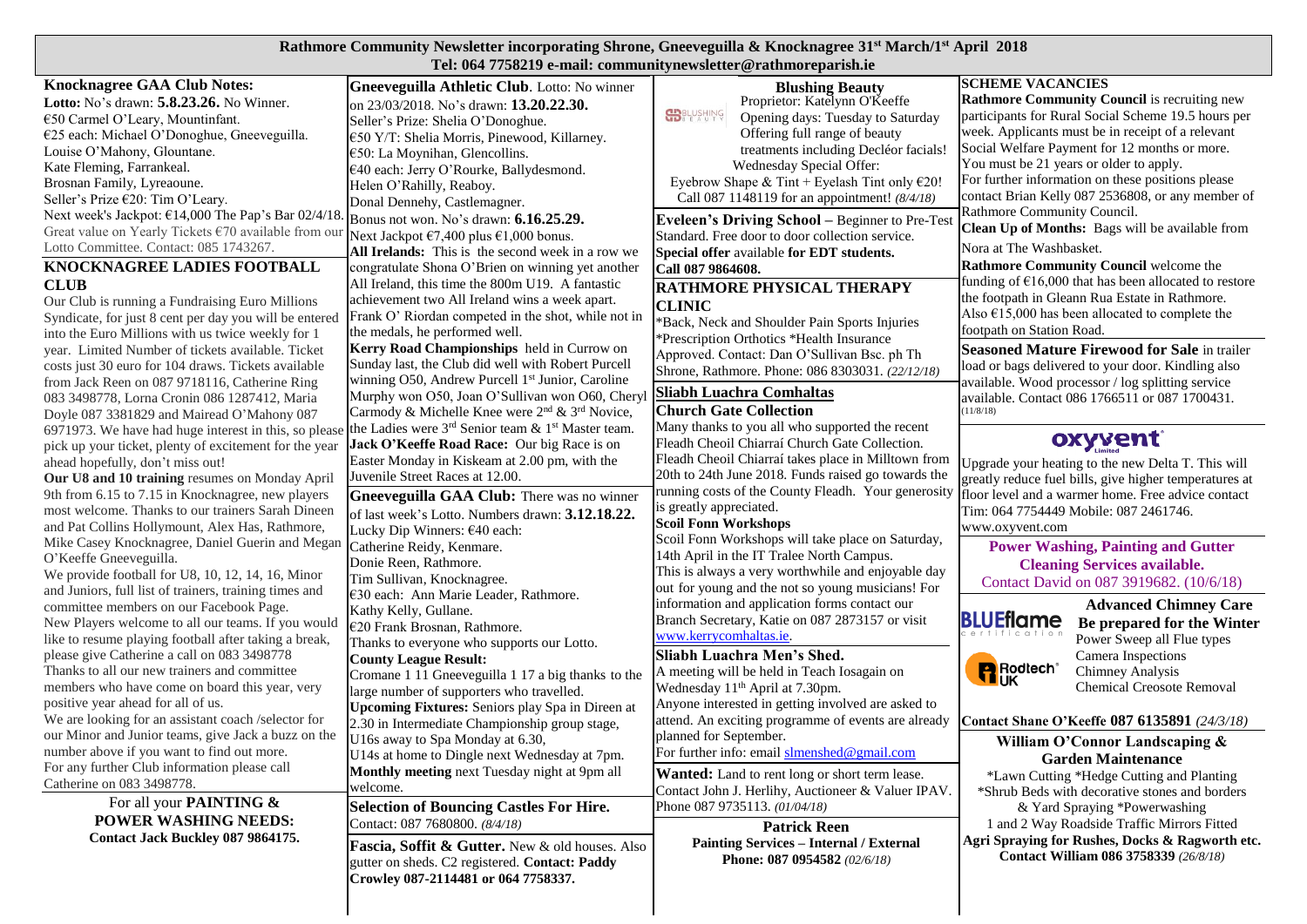## **Rathmore Community Newsletter incorporating Shrone, Gneeveguilla & Knocknagree 31st March/1st April 2018 Tel: 064 7758219 e-mail: communitynewsletter@rathmoreparish.ie**

|                                                                | тек оот глоодтя с наак соннцаннунсмясаас стаанногератиям                   |                                                         |                                                                 |
|----------------------------------------------------------------|----------------------------------------------------------------------------|---------------------------------------------------------|-----------------------------------------------------------------|
| <b>Knocknagree GAA Club Notes:</b>                             | Gneeveguilla Athletic Club. Lotto: No winner                               | <b>Blushing Beauty</b>                                  | <b>SCHEME VACANCIES</b>                                         |
| Lotto: No's drawn: 5.8.23.26. No Winner.                       | on 23/03/2018. No's drawn: <b>13.20.22.30.</b>                             | Proprietor: Katelynn O'Keeffe                           | Rathmore Community Council is recruiting new                    |
| €50 Carmel O'Leary, Mountinfant.                               | Seller's Prize: Shelia O'Donoghue.                                         | <b>SP</b> BLUSHING<br>Opening days: Tuesday to Saturday | participants for Rural Social Scheme 19.5 hours per             |
| €25 each: Michael O'Donoghue, Gneeveguilla.                    | €50 Y/T: Shelia Morris, Pinewood, Killarney.                               | Offering full range of beauty                           | week. Applicants must be in receipt of a relevant               |
| Louise O'Mahony, Glountane.                                    | €50: La Moynihan, Glencollins.                                             | treatments including Decléor facials!                   | Social Welfare Payment for 12 months or more.                   |
| Kate Fleming, Farrankeal.                                      | €40 each: Jerry O'Rourke, Ballydesmond.                                    | Wednesday Special Offer:                                | You must be 21 years or older to apply.                         |
| Brosnan Family, Lyreaoune.                                     | Helen O'Rahilly, Reaboy.                                                   | Eyebrow Shape & Tint + Eyelash Tint only $\epsilon$ 20! | For further information on these positions please               |
| Seller's Prize €20: Tim O'Leary.                               | Donal Dennehy, Castlemagner.                                               | Call 087 1148119 for an appointment! (8/4/18)           | contact Brian Kelly 087 2536808, or any member of               |
| Next week's Jackpot: €14,000 The Pap's Bar 02/4/18.            | Bonus not won. No's drawn: <b>6.16.25.29.</b>                              |                                                         | Rathmore Community Council.                                     |
| Great value on Yearly Tickets $\epsilon$ 70 available from our |                                                                            | <b>Eveleen's Driving School - Beginner to Pre-Test</b>  | Clean Up of Months: Bags will be available from                 |
| Lotto Committee. Contact: 085 1743267.                         | Next Jackpot €7,400 plus €1,000 bonus.                                     | Standard. Free door to door collection service.         | Nora at The Washbasket.                                         |
| KNOCKNAGREE LADIES FOOTBALL                                    | All Irelands: This is the second week in a row we                          | Special offer available for EDT students.               | <b>Rathmore Community Council</b> welcome the                   |
|                                                                | congratulate Shona O'Brien on winning yet another                          | Call 087 9864608.                                       | funding of $\epsilon$ 16,000 that has been allocated to restore |
| <b>CLUB</b>                                                    | All Ireland, this time the 800m U19. A fantastic                           | RATHMORE PHYSICAL THERAPY                               | the footpath in Gleann Rua Estate in Rathmore.                  |
| Our Club is running a Fundraising Euro Millions                | achievement two All Ireland wins a week apart.                             | <b>CLINIC</b>                                           | Also $\epsilon$ 15,000 has been allocated to complete the       |
| Syndicate, for just 8 cent per day you will be entered         | Frank O' Riordan competed in the shot, while not in                        | *Back, Neck and Shoulder Pain Sports Injuries           | footpath on Station Road.                                       |
| into the Euro Millions with us twice weekly for 1              | the medals, he performed well.                                             | *Prescription Orthotics *Health Insurance               |                                                                 |
| year. Limited Number of tickets available. Ticket              | Kerry Road Championships held in Currow on                                 | Approved. Contact: Dan O'Sullivan Bsc. ph Th            | <b>Seasoned Mature Firewood for Sale in trailer</b>             |
| costs just 30 euro for 104 draws. Tickets available            | Sunday last, the Club did well with Robert Purcell                         | Shrone, Rathmore. Phone: 086 8303031. (22/12/18)        | load or bags delivered to your door. Kindling also              |
| from Jack Reen on 087 9718116, Catherine Ring                  | winning O50, Andrew Purcell 1 <sup>st</sup> Junior, Caroline               | Sliabh Luachra Comhaltas                                | available. Wood processor / log splitting service               |
| 083 3498778, Lorna Cronin 086 1287412, Maria                   | Murphy won O50, Joan O'Sullivan won O60, Chery                             |                                                         | available. Contact 086 1766511 or 087 1700431.                  |
| Doyle 087 3381829 and Mairead O'Mahony 087                     | Carmody & Michelle Knee were 2 <sup>nd</sup> & 3 <sup>rd</sup> Novice,     | <b>Church Gate Collection</b>                           | (11/8/18)                                                       |
| 6971973. We have had huge interest in this, so please          | the Ladies were 3 <sup>rd</sup> Senior team & 1 <sup>st</sup> Master team. | Many thanks to you all who supported the recent         | oxyvent                                                         |
| pick up your ticket, plenty of excitement for the year         | Jack O'Keeffe Road Race: Our big Race is on                                | Fleadh Cheoil Chiarraí Church Gate Collection.          |                                                                 |
| ahead hopefully, don't miss out!                               | Easter Monday in Kiskeam at 2.00 pm, with the                              | Fleadh Cheoil Chiarraí takes place in Milltown from     | Upgrade your heating to the new Delta T. This will              |
| Our U8 and 10 training resumes on Monday April                 | Juvenile Street Races at 12.00.                                            | 20th to 24th June 2018. Funds raised go towards the     | greatly reduce fuel bills, give higher temperatures at          |
| 9th from 6.15 to 7.15 in Knocknagree, new players              | Gneeveguilla GAA Club: There was no winner                                 | running costs of the County Fleadh. Your generosity     | floor level and a warmer home. Free advice contact              |
| most welcome. Thanks to our trainers Sarah Dineen              | of last week's Lotto. Numbers drawn: 3.12.18.22.                           | is greatly appreciated.                                 | Tim: 064 7754449 Mobile: 087 2461746.                           |
| and Pat Collins Hollymount, Alex Has, Rathmore,                | Lucky Dip Winners: €40 each:                                               | <b>Scoil Fonn Workshops</b>                             | www.oxyvent.com                                                 |
| Mike Casey Knocknagree, Daniel Guerin and Megan                | Catherine Reidy, Kenmare.                                                  | Scoil Fonn Workshops will take place on Saturday,       | <b>Power Washing, Painting and Gutter</b>                       |
| O'Keeffe Gneeveguilla.                                         | Donie Reen, Rathmore.                                                      | 14th April in the IT Tralee North Campus.               | <b>Cleaning Services available.</b>                             |
| We provide football for U8, 10, 12, 14, 16, Minor              | Tim Sullivan, Knocknagree.                                                 | This is always a very worthwhile and enjoyable day      | Contact David on 087 3919682. (10/6/18)                         |
| and Juniors, full list of trainers, training times and         | €30 each: Ann Marie Leader, Rathmore.                                      | out for young and the not so young musicians! For       |                                                                 |
| committee members on our Facebook Page.                        | Kathy Kelly, Gullane.                                                      | information and application forms contact our           | <b>Advanced Chimney Care</b>                                    |
| New Players welcome to all our teams. If you would             | €20 Frank Brosnan, Rathmore.                                               | Branch Secretary, Katie on 087 2873157 or visit         | <b>BLUEflame</b><br>Be prepared for the Winter                  |
| like to resume playing football after taking a break,          | Thanks to everyone who supports our Lotto.                                 | www.kerrycomhaltas.ie.                                  | Power Sweep all Flue types                                      |
| please give Catherine a call on 083 3498778                    | <b>County League Result:</b>                                               | Sliabh Luachra Men's Shed.                              | Camera Inspections                                              |
| Thanks to all our new trainers and committee                   | Cromane 1 11 Gneeveguilla 1 17 a big thanks to the                         | A meeting will be held in Teach Iosagain on             | <b>R</b> Rodlech <sup>®</sup><br><b>Chimney Analysis</b>        |
| members who have come on board this year, very                 | large number of supporters who travelled.                                  | Wednesday 11 <sup>th</sup> April at 7.30pm.             | <b>Chemical Creosote Removal</b>                                |
| positive year ahead for all of us.                             | Upcoming Fixtures: Seniors play Spa in Direen at                           | Anyone interested in getting involved are asked to      |                                                                 |
| We are looking for an assistant coach /selector for            | 2.30 in Intermediate Championship group stage,                             | attend. An exciting programme of events are already     | Contact Shane O'Keeffe 087 6135891 (24/3/18)                    |
| our Minor and Junior teams, give Jack a buzz on the            | U16s away to Spa Monday at 6.30,                                           | planned for September.                                  | William O'Connor Landscaping &                                  |
| number above if you want to find out more.                     | U14s at home to Dingle next Wednesday at 7pm.                              | For further info: email slmenshed@gmail.com             | <b>Garden Maintenance</b>                                       |
| For any further Club information please call                   | Monthly meeting next Tuesday night at 9pm all                              | Wanted: Land to rent long or short term lease.          | *Lawn Cutting *Hedge Cutting and Planting                       |
| Catherine on 083 3498778.                                      | welcome.                                                                   | Contact John J. Herlihy, Auctioneer & Valuer IPAV.      | *Shrub Beds with decorative stones and borders                  |
| For all your PAINTING &                                        | <b>Selection of Bouncing Castles For Hire.</b>                             | Phone 087 9735113. (01/04/18)                           | & Yard Spraying *Powerwashing                                   |
| <b>POWER WASHING NEEDS:</b>                                    | Contact: 087 7680800. (8/4/18)                                             | <b>Patrick Reen</b>                                     | 1 and 2 Way Roadside Traffic Mirrors Fitted                     |
| Contact Jack Buckley 087 9864175.                              |                                                                            |                                                         | Agri Spraying for Rushes, Docks & Ragworth etc.                 |
|                                                                | Fascia, Soffit & Gutter. New & old houses. Also                            | <b>Painting Services - Internal / External</b>          | Contact William 086 3758339 (26/8/18)                           |
|                                                                | gutter on sheds. C2 registered. Contact: Paddy                             | Phone: 087 0954582 (02/6/18)                            |                                                                 |
|                                                                | Crowley 087-2114481 or 064 7758337.                                        |                                                         |                                                                 |
|                                                                |                                                                            |                                                         |                                                                 |

 $\mathbf{I}$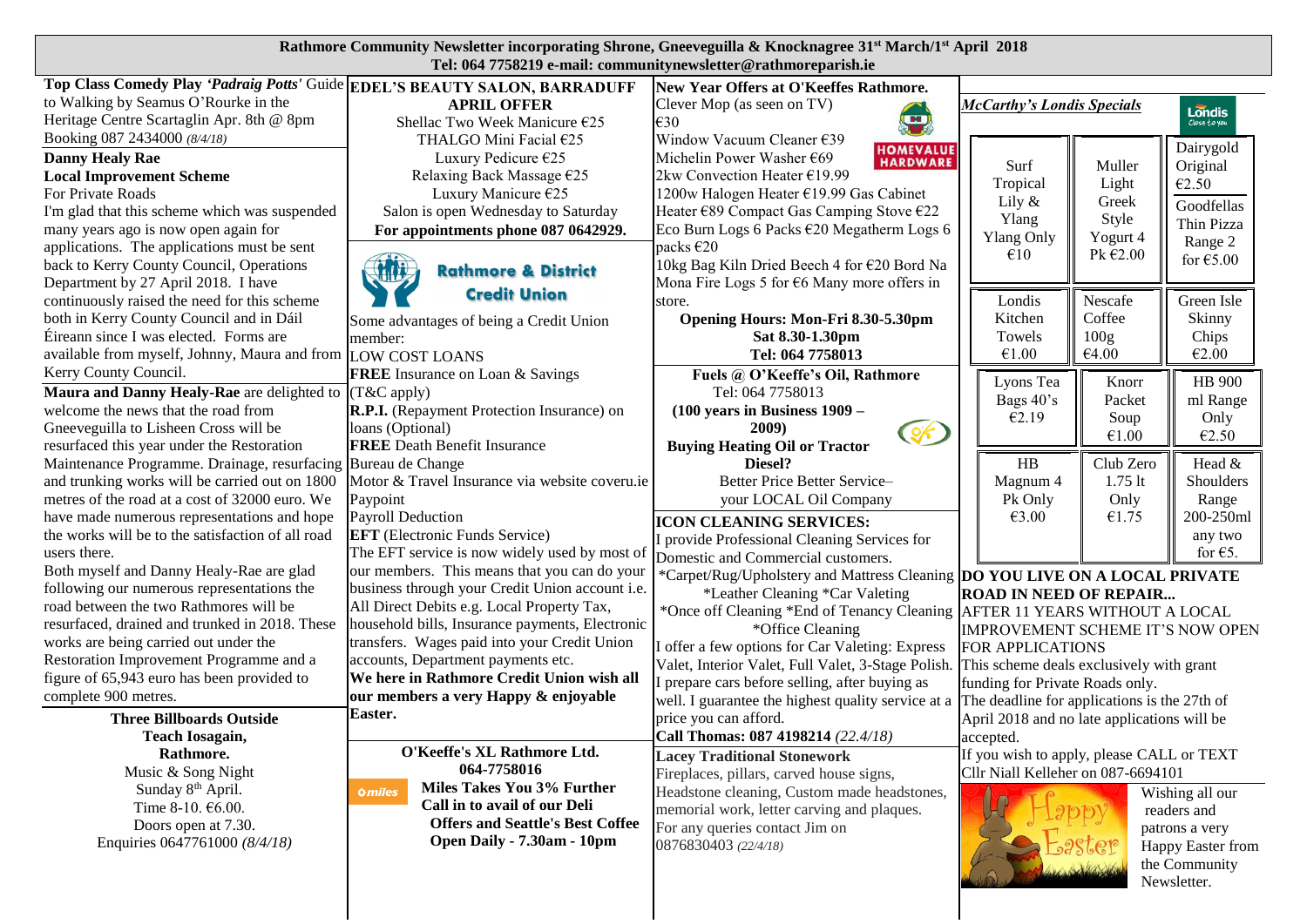## **Rathmore Community Newsletter incorporating Shrone, Gneeveguilla & Knocknagree 31st March/1st April 2018 Tel: 064 7758219 e-mail: communitynewsletter@rathmoreparish.ie**

| Top Class Comedy Play 'Padraig Potts' Guide EDEL'S BEAUTY SALON, BARRADUFF |                                                 | New Year Offers at O'Keeffes Rathmore.                                      |                                              |                  |                        |
|----------------------------------------------------------------------------|-------------------------------------------------|-----------------------------------------------------------------------------|----------------------------------------------|------------------|------------------------|
| to Walking by Seamus O'Rourke in the                                       | <b>APRIL OFFER</b>                              |                                                                             |                                              |                  |                        |
| Heritage Centre Scartaglin Apr. 8th @ 8pm                                  | Shellac Two Week Manicure €25                   | Clever Mop (as seen on TV)<br>÷<br>€30                                      | <b>McCarthy's Londis Specials</b>            |                  | Londis<br>Close to you |
| Booking 087 2434000 (8/4/18)                                               | THALGO Mini Facial €25                          | Window Vacuum Cleaner €39                                                   |                                              |                  |                        |
| <b>Danny Healy Rae</b>                                                     | Luxury Pedicure €25                             | <b>HOMEVALUE</b><br>HARDWARE<br>Michelin Power Washer €69                   |                                              |                  | Dairygold              |
|                                                                            |                                                 | 2kw Convection Heater €19.99                                                | Surf                                         | Muller           | Original               |
| <b>Local Improvement Scheme</b>                                            | Relaxing Back Massage €25                       |                                                                             | Tropical                                     | Light            | €2.50                  |
| For Private Roads                                                          | Luxury Manicure €25                             | 1200w Halogen Heater €19.99 Gas Cabinet                                     | Lily &                                       | Greek            | Goodfellas             |
| I'm glad that this scheme which was suspended                              | Salon is open Wednesday to Saturday             | Heater €89 Compact Gas Camping Stove €22                                    | Ylang                                        | Style            | Thin Pizza             |
| many years ago is now open again for                                       | For appointments phone 087 0642929.             | Eco Burn Logs 6 Packs €20 Megatherm Logs 6                                  | <b>Ylang Only</b>                            | Yogurt 4         | Range 2                |
| applications. The applications must be sent                                |                                                 | packs €20                                                                   | €10                                          | Pk $E$ 2.00      | for $€5.00$            |
| back to Kerry County Council, Operations                                   | 新花<br><b>Rathmore &amp; District</b>            | 10kg Bag Kiln Dried Beech 4 for €20 Bord Na                                 |                                              |                  |                        |
| Department by 27 April 2018. I have                                        | <b>Credit Union</b>                             | Mona Fire Logs 5 for $66$ Many more offers in                               |                                              |                  |                        |
| continuously raised the need for this scheme                               |                                                 | store.                                                                      | Londis                                       | Nescafe          | Green Isle             |
| both in Kerry County Council and in Dáil                                   | Some advantages of being a Credit Union         | Opening Hours: Mon-Fri 8.30-5.30pm                                          | Kitchen                                      | Coffee           | Skinny                 |
| Éireann since I was elected. Forms are                                     | member:                                         | Sat 8.30-1.30pm                                                             | Towels                                       | 100 <sub>g</sub> | Chips                  |
| available from myself, Johnny, Maura and from LOW COST LOANS               |                                                 | Tel: 064 7758013                                                            | €1.00                                        | €4.00            | €2.00                  |
| Kerry County Council.                                                      | <b>FREE</b> Insurance on Loan & Savings         | Fuels @ O'Keeffe's Oil, Rathmore                                            |                                              |                  | HB 900                 |
| <b>Maura and Danny Healy-Rae</b> are delighted to $(T & C$ apply)          |                                                 | Tel: 064 7758013                                                            | Lyons Tea                                    | Knorr            |                        |
| welcome the news that the road from                                        | R.P.I. (Repayment Protection Insurance) on      | $(100 \text{ years in Business } 1909 -$                                    | Bags 40's                                    | Packet           | ml Range               |
| Gneeveguilla to Lisheen Cross will be                                      | loans (Optional)                                | 2009)                                                                       | €2.19                                        | Soup             | Only                   |
| resurfaced this year under the Restoration                                 | <b>FREE</b> Death Benefit Insurance             | Cok<br><b>Buying Heating Oil or Tractor</b>                                 |                                              | €1.00            | €2.50                  |
| Maintenance Programme. Drainage, resurfacing Bureau de Change              |                                                 | Diesel?                                                                     | HB                                           | Club Zero        | Head &                 |
| and trunking works will be carried out on 1800                             | Motor & Travel Insurance via website coveru.ie  | Better Price Better Service-                                                | Magnum 4                                     | $1.75$ lt        | Shoulders              |
| metres of the road at a cost of 32000 euro. We                             | Paypoint                                        | your LOCAL Oil Company                                                      | Pk Only                                      | Only             | Range                  |
| have made numerous representations and hope                                | Payroll Deduction                               |                                                                             | €3.00                                        | €1.75            | 200-250ml              |
| the works will be to the satisfaction of all road                          | <b>EFT</b> (Electronic Funds Service)           | <b>ICON CLEANING SERVICES:</b>                                              |                                              |                  | any two                |
| users there.                                                               | The EFT service is now widely used by most of   | I provide Professional Cleaning Services for                                |                                              |                  | for $\epsilon$ 5.      |
| Both myself and Danny Healy-Rae are glad                                   | our members. This means that you can do your    | Domestic and Commercial customers.                                          |                                              |                  |                        |
| following our numerous representations the                                 | business through your Credit Union account i.e. | *Carpet/Rug/Upholstery and Mattress Cleaning DO YOU LIVE ON A LOCAL PRIVATE |                                              |                  |                        |
| road between the two Rathmores will be                                     | All Direct Debits e.g. Local Property Tax,      | *Leather Cleaning *Car Valeting                                             | <b>ROAD IN NEED OF REPAIR</b>                |                  |                        |
| resurfaced, drained and trunked in 2018. These                             | household bills, Insurance payments, Electronic | *Once off Cleaning *End of Tenancy Cleaning AFTER 11 YEARS WITHOUT A LOCAL  |                                              |                  |                        |
| works are being carried out under the                                      | transfers. Wages paid into your Credit Union    | *Office Cleaning                                                            | IMPROVEMENT SCHEME IT'S NOW OPEN             |                  |                        |
| Restoration Improvement Programme and a                                    | accounts, Department payments etc.              | I offer a few options for Car Valeting: Express                             | FOR APPLICATIONS                             |                  |                        |
| figure of 65,943 euro has been provided to                                 | We here in Rathmore Credit Union wish all       | Valet, Interior Valet, Full Valet, 3-Stage Polish.                          | This scheme deals exclusively with grant     |                  |                        |
| complete 900 metres.                                                       |                                                 | I prepare cars before selling, after buying as                              | funding for Private Roads only.              |                  |                        |
|                                                                            | our members a very Happy & enjoyable            | well. I guarantee the highest quality service at a                          | The deadline for applications is the 27th of |                  |                        |
| <b>Three Billboards Outside</b>                                            | Easter.                                         | price you can afford.                                                       | April 2018 and no late applications will be  |                  |                        |
| <b>Teach Iosagain,</b>                                                     |                                                 | Call Thomas: 087 4198214 (22.4/18)                                          | accepted.                                    |                  |                        |
| Rathmore.                                                                  | O'Keeffe's XL Rathmore Ltd.                     | <b>Lacey Traditional Stonework</b>                                          | If you wish to apply, please CALL or TEXT    |                  |                        |
| Music & Song Night                                                         | 064-7758016                                     | Fireplaces, pillars, carved house signs,                                    | Cllr Niall Kelleher on 087-6694101           |                  |                        |
| Sunday 8th April.                                                          | Miles Takes You 3% Further<br><b>Omiles</b>     | Headstone cleaning, Custom made headstones,                                 |                                              |                  | Wishing all our        |
| Time 8-10. €6.00.                                                          | Call in to avail of our Deli                    | memorial work, letter carving and plaques.                                  |                                              |                  | readers and            |
| Doors open at 7.30.                                                        | <b>Offers and Seattle's Best Coffee</b>         | For any queries contact Jim on                                              |                                              |                  | patrons a very         |
| Enquiries 0647761000 (8/4/18)                                              | Open Daily - 7.30am - 10pm                      | 0876830403 (22/4/18)                                                        |                                              |                  | Happy Easter from      |
|                                                                            |                                                 |                                                                             |                                              |                  | the Community          |
|                                                                            |                                                 |                                                                             |                                              | Newsletter.      |                        |